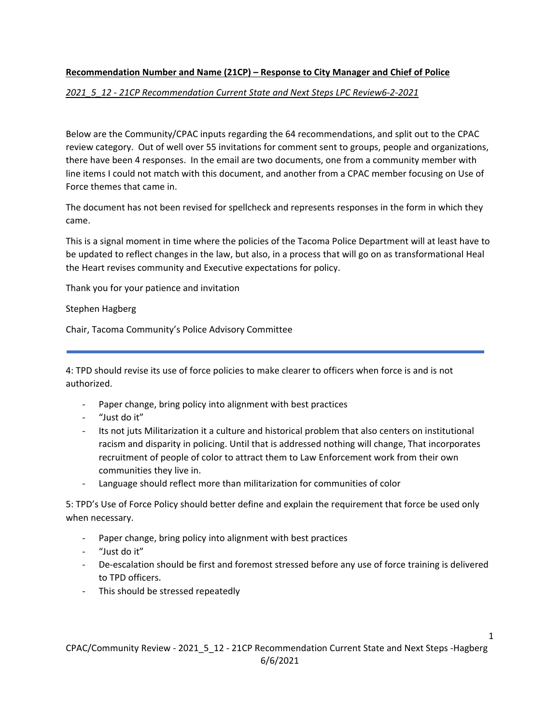## **Recommendation Number and Name (21CP) – Response to City Manager and Chief of Police**

## *2021\_5\_12 ‐ 21CP Recommendation Current State and Next Steps LPC Review6‐2‐2021*

Below are the Community/CPAC inputs regarding the 64 recommendations, and split out to the CPAC review category. Out of well over 55 invitations for comment sent to groups, people and organizations, there have been 4 responses. In the email are two documents, one from a community member with line items I could not match with this document, and another from a CPAC member focusing on Use of Force themes that came in.

The document has not been revised for spellcheck and represents responses in the form in which they came.

This is a signal moment in time where the policies of the Tacoma Police Department will at least have to be updated to reflect changes in the law, but also, in a process that will go on as transformational Heal the Heart revises community and Executive expectations for policy.

Thank you for your patience and invitation

Stephen Hagberg

Chair, Tacoma Community's Police Advisory Committee

4: TPD should revise its use of force policies to make clearer to officers when force is and is not authorized.

- ‐ Paper change, bring policy into alignment with best practices
- ‐ "Just do it"
- ‐ Its not juts Militarization it a culture and historical problem that also centers on institutional racism and disparity in policing. Until that is addressed nothing will change, That incorporates recruitment of people of color to attract them to Law Enforcement work from their own communities they live in.
- ‐ Language should reflect more than militarization for communities of color

5: TPD's Use of Force Policy should better define and explain the requirement that force be used only when necessary.

- ‐ Paper change, bring policy into alignment with best practices
- ‐ "Just do it"
- ‐ De‐escalation should be first and foremost stressed before any use of force training is delivered to TPD officers.
- ‐ This should be stressed repeatedly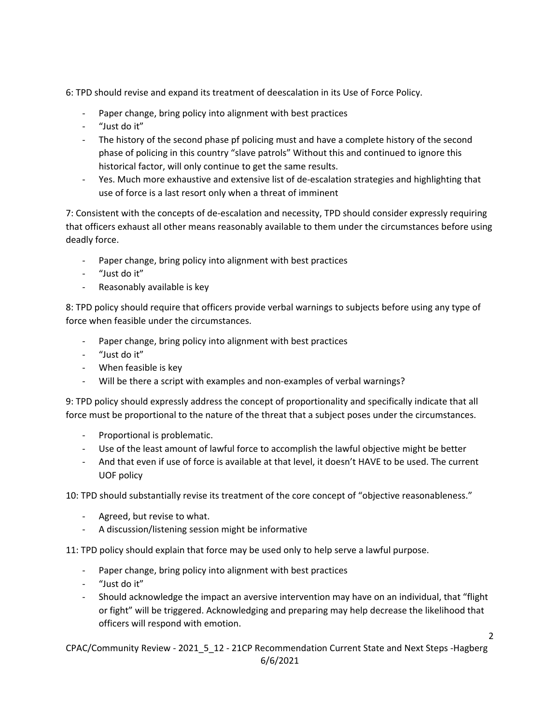6: TPD should revise and expand its treatment of deescalation in its Use of Force Policy.

- Paper change, bring policy into alignment with best practices
- ‐ "Just do it"
- ‐ The history of the second phase pf policing must and have a complete history of the second phase of policing in this country "slave patrols" Without this and continued to ignore this historical factor, will only continue to get the same results.
- ‐ Yes. Much more exhaustive and extensive list of de‐escalation strategies and highlighting that use of force is a last resort only when a threat of imminent

7: Consistent with the concepts of de-escalation and necessity, TPD should consider expressly requiring that officers exhaust all other means reasonably available to them under the circumstances before using deadly force.

- Paper change, bring policy into alignment with best practices
- ‐ "Just do it"
- ‐ Reasonably available is key

8: TPD policy should require that officers provide verbal warnings to subjects before using any type of force when feasible under the circumstances.

- Paper change, bring policy into alignment with best practices
- ‐ "Just do it"
- ‐ When feasible is key
- Will be there a script with examples and non-examples of verbal warnings?

9: TPD policy should expressly address the concept of proportionality and specifically indicate that all force must be proportional to the nature of the threat that a subject poses under the circumstances.

- ‐ Proportional is problematic.
- ‐ Use of the least amount of lawful force to accomplish the lawful objective might be better
- ‐ And that even if use of force is available at that level, it doesn't HAVE to be used. The current UOF policy

10: TPD should substantially revise its treatment of the core concept of "objective reasonableness."

- ‐ Agreed, but revise to what.
- ‐ A discussion/listening session might be informative

11: TPD policy should explain that force may be used only to help serve a lawful purpose.

- ‐ Paper change, bring policy into alignment with best practices
- ‐ "Just do it"
- ‐ Should acknowledge the impact an aversive intervention may have on an individual, that "flight or fight" will be triggered. Acknowledging and preparing may help decrease the likelihood that officers will respond with emotion.

CPAC/Community Review - 2021 5 12 - 21CP Recommendation Current State and Next Steps -Hagberg 6/6/2021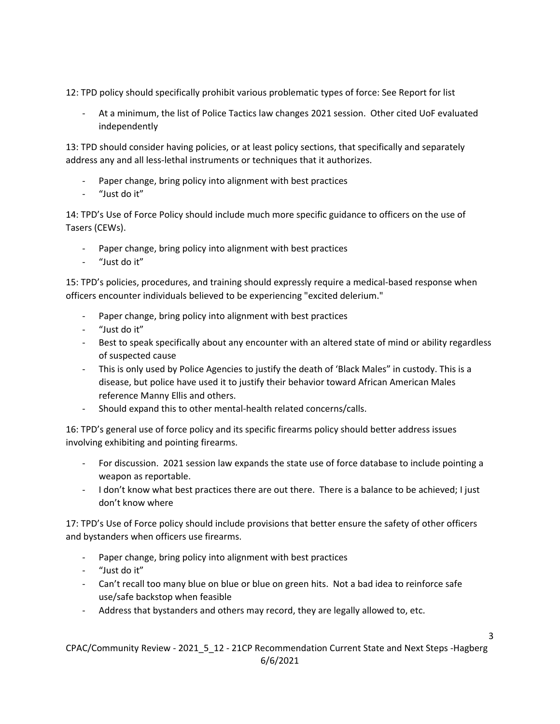12: TPD policy should specifically prohibit various problematic types of force: See Report for list

‐ At a minimum, the list of Police Tactics law changes 2021 session. Other cited UoF evaluated independently

13: TPD should consider having policies, or at least policy sections, that specifically and separately address any and all less‐lethal instruments or techniques that it authorizes.

- Paper change, bring policy into alignment with best practices
- ‐ "Just do it"

14: TPD's Use of Force Policy should include much more specific guidance to officers on the use of Tasers (CEWs).

- Paper change, bring policy into alignment with best practices
- ‐ "Just do it"

15: TPD's policies, procedures, and training should expressly require a medical‐based response when officers encounter individuals believed to be experiencing "excited delerium."

- Paper change, bring policy into alignment with best practices
- ‐ "Just do it"
- ‐ Best to speak specifically about any encounter with an altered state of mind or ability regardless of suspected cause
- ‐ This is only used by Police Agencies to justify the death of 'Black Males" in custody. This is a disease, but police have used it to justify their behavior toward African American Males reference Manny Ellis and others.
- ‐ Should expand this to other mental‐health related concerns/calls.

16: TPD's general use of force policy and its specific firearms policy should better address issues involving exhibiting and pointing firearms.

- ‐ For discussion. 2021 session law expands the state use of force database to include pointing a weapon as reportable.
- ‐ I don't know what best practices there are out there. There is a balance to be achieved; I just don't know where

17: TPD's Use of Force policy should include provisions that better ensure the safety of other officers and bystanders when officers use firearms.

- ‐ Paper change, bring policy into alignment with best practices
- ‐ "Just do it"
- ‐ Can't recall too many blue on blue or blue on green hits. Not a bad idea to reinforce safe use/safe backstop when feasible
- ‐ Address that bystanders and others may record, they are legally allowed to, etc.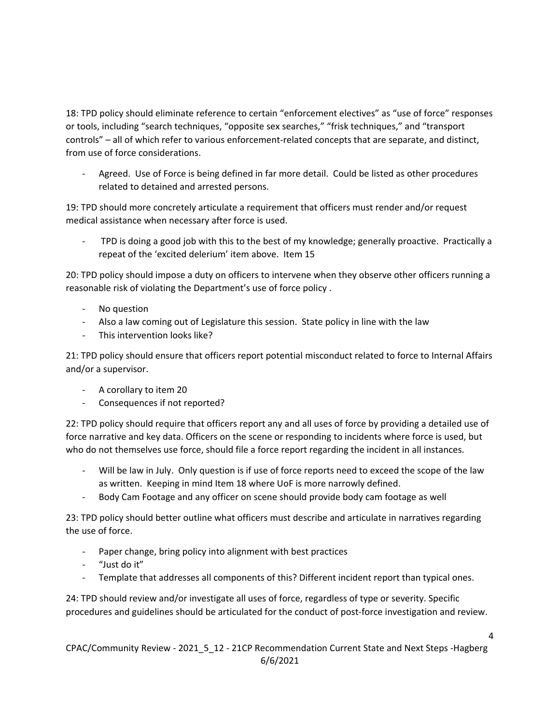18: TPD policy should eliminate reference to certain "enforcement electives" as "use of force" responses or tools, including "search techniques, "opposite sex searches," "frisk techniques," and "transport controls" – all of which refer to various enforcement‐related concepts that are separate, and distinct, from use of force considerations.

‐ Agreed. Use of Force is being defined in far more detail. Could be listed as other procedures related to detained and arrested persons.

19: TPD should more concretely articulate a requirement that officers must render and/or request medical assistance when necessary after force is used.

‐ TPD is doing a good job with this to the best of my knowledge; generally proactive. Practically a repeat of the 'excited delerium' item above. Item 15

20: TPD policy should impose a duty on officers to intervene when they observe other officers running a reasonable risk of violating the Department's use of force policy .

- ‐ No question
- Also a law coming out of Legislature this session. State policy in line with the law
- ‐ This intervention looks like?

21: TPD policy should ensure that officers report potential misconduct related to force to Internal Affairs and/or a supervisor.

- ‐ A corollary to item 20
- ‐ Consequences if not reported?

22: TPD policy should require that officers report any and all uses of force by providing a detailed use of force narrative and key data. Officers on the scene or responding to incidents where force is used, but who do not themselves use force, should file a force report regarding the incident in all instances.

- Will be law in July. Only question is if use of force reports need to exceed the scope of the law as written. Keeping in mind Item 18 where UoF is more narrowly defined.
- ‐ Body Cam Footage and any officer on scene should provide body cam footage as well

23: TPD policy should better outline what officers must describe and articulate in narratives regarding the use of force.

- Paper change, bring policy into alignment with best practices
- ‐ "Just do it"
- ‐ Template that addresses all components of this? Different incident report than typical ones.

24: TPD should review and/or investigate all uses of force, regardless of type or severity. Specific procedures and guidelines should be articulated for the conduct of post-force investigation and review.

CPAC/Community Review - 2021 5 12 - 21CP Recommendation Current State and Next Steps -Hagberg 6/6/2021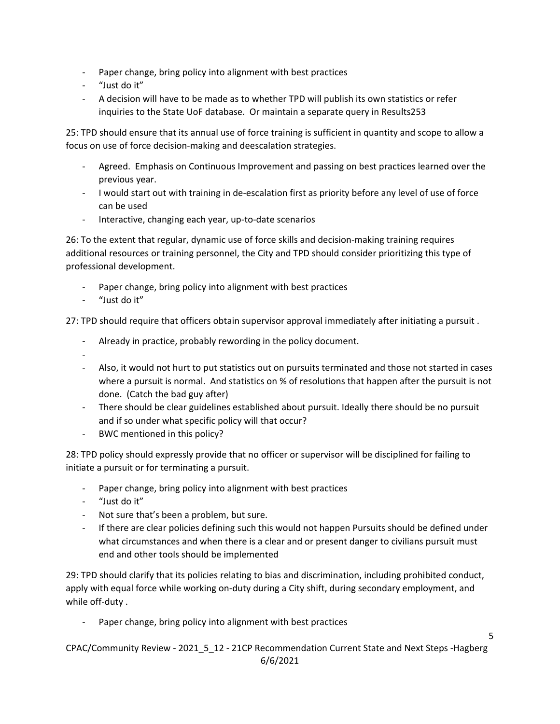- ‐ Paper change, bring policy into alignment with best practices
- ‐ "Just do it"
- ‐ A decision will have to be made as to whether TPD will publish its own statistics or refer inquiries to the State UoF database. Or maintain a separate query in Results253

25: TPD should ensure that its annual use of force training is sufficient in quantity and scope to allow a focus on use of force decision‐making and deescalation strategies.

- ‐ Agreed. Emphasis on Continuous Improvement and passing on best practices learned over the previous year.
- ‐ I would start out with training in de‐escalation first as priority before any level of use of force can be used
- ‐ Interactive, changing each year, up‐to‐date scenarios

26: To the extent that regular, dynamic use of force skills and decision-making training requires additional resources or training personnel, the City and TPD should consider prioritizing this type of professional development.

- Paper change, bring policy into alignment with best practices
- ‐ "Just do it"

27: TPD should require that officers obtain supervisor approval immediately after initiating a pursuit .

- ‐ Already in practice, probably rewording in the policy document.
- ‐
- ‐ Also, it would not hurt to put statistics out on pursuits terminated and those not started in cases where a pursuit is normal. And statistics on % of resolutions that happen after the pursuit is not done. (Catch the bad guy after)
- ‐ There should be clear guidelines established about pursuit. Ideally there should be no pursuit and if so under what specific policy will that occur?
- ‐ BWC mentioned in this policy?

28: TPD policy should expressly provide that no officer or supervisor will be disciplined for failing to initiate a pursuit or for terminating a pursuit.

- ‐ Paper change, bring policy into alignment with best practices
- ‐ "Just do it"
- ‐ Not sure that's been a problem, but sure.
- If there are clear policies defining such this would not happen Pursuits should be defined under what circumstances and when there is a clear and or present danger to civilians pursuit must end and other tools should be implemented

29: TPD should clarify that its policies relating to bias and discrimination, including prohibited conduct, apply with equal force while working on-duty during a City shift, during secondary employment, and while off-duty.

Paper change, bring policy into alignment with best practices

CPAC/Community Review - 2021 5 12 - 21CP Recommendation Current State and Next Steps -Hagberg 6/6/2021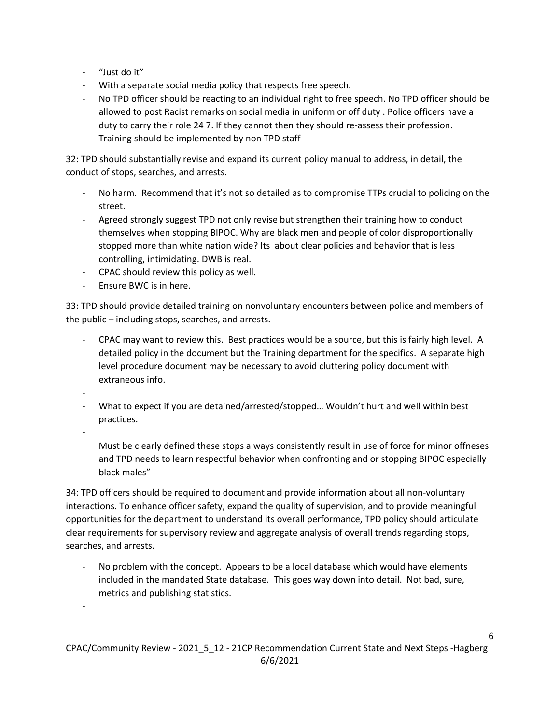- ‐ "Just do it"
- ‐ With a separate social media policy that respects free speech.
- ‐ No TPD officer should be reacting to an individual right to free speech. No TPD officer should be allowed to post Racist remarks on social media in uniform or off duty . Police officers have a duty to carry their role 24 7. If they cannot then they should re-assess their profession.
- ‐ Training should be implemented by non TPD staff

32: TPD should substantially revise and expand its current policy manual to address, in detail, the conduct of stops, searches, and arrests.

- ‐ No harm. Recommend that it's not so detailed as to compromise TTPs crucial to policing on the street.
- ‐ Agreed strongly suggest TPD not only revise but strengthen their training how to conduct themselves when stopping BIPOC. Why are black men and people of color disproportionally stopped more than white nation wide? Its about clear policies and behavior that is less controlling, intimidating. DWB is real.
- ‐ CPAC should review this policy as well.
- ‐ Ensure BWC is in here.

33: TPD should provide detailed training on nonvoluntary encounters between police and members of the public – including stops, searches, and arrests.

- ‐ CPAC may want to review this. Best practices would be a source, but this is fairly high level. A detailed policy in the document but the Training department for the specifics. A separate high level procedure document may be necessary to avoid cluttering policy document with extraneous info.
- ‐
- ‐ What to expect if you are detained/arrested/stopped… Wouldn't hurt and well within best practices.

‐

‐

Must be clearly defined these stops always consistently result in use of force for minor offneses and TPD needs to learn respectful behavior when confronting and or stopping BIPOC especially black males"

34: TPD officers should be required to document and provide information about all non‐voluntary interactions. To enhance officer safety, expand the quality of supervision, and to provide meaningful opportunities for the department to understand its overall performance, TPD policy should articulate clear requirements for supervisory review and aggregate analysis of overall trends regarding stops, searches, and arrests.

No problem with the concept. Appears to be a local database which would have elements included in the mandated State database. This goes way down into detail. Not bad, sure, metrics and publishing statistics.

CPAC/Community Review - 2021 5 12 - 21CP Recommendation Current State and Next Steps - Hagberg 6/6/2021